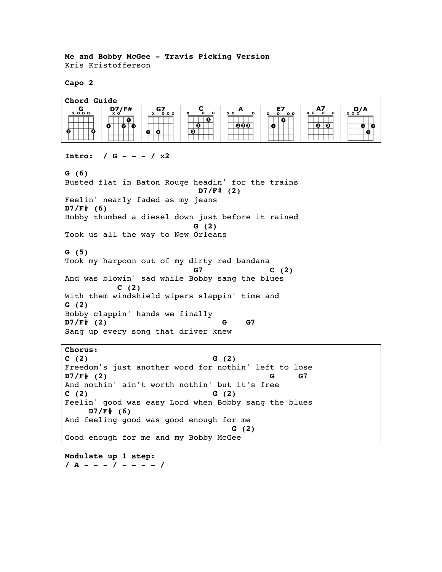**Me and Bobby McGee - Travis Picking Version** Kris Kristofferson

**Capo 2**



## **Intro: / G - - - / x2**

**G (6)** Busted flat in Baton Rouge headin' for the trains **D7/F# (2)** Feelin' nearly faded as my jeans **D7/F# (6)** Bobby thumbed a diesel down just before it rained **G (2)** Took us all the way to New Orleans **G (5)** Took my harpoon out of my dirty red bandana **G7 C (2)** And was blowin' sad while Bobby sang the blues  **C (2)** With them windshield wipers slappin' time and **G (2)** Bobby clappin' hands we finally **D7/F# (2) G G7** Sang up every song that driver knew

**Chorus: C (2) G (2)** Freedom's just another word for nothin' left to lose **D7/F# (2) G G7** And nothin' ain't worth nothin' but it's free **C (2) G (2)** Feelin' good was easy Lord when Bobby sang the blues  **D7/F# (6)** And feeling good was good enough for me  **G (2)** Good enough for me and my Bobby McGee

**Modulate up 1 step: / A - - - / - - - - /**